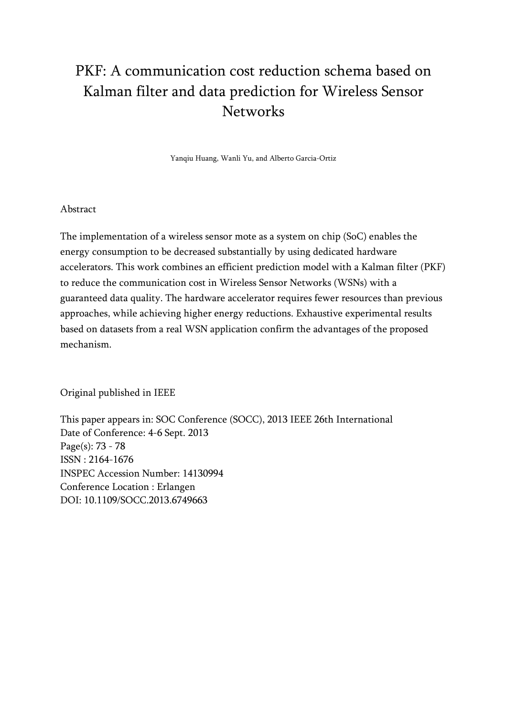# PKF: A communication cost reduction schema based on Kalman filter and data prediction for Wireless Sensor **Networks**

Yanqiu Huang, Wanli Yu, and Alberto Garcia-Ortiz

### Abstract

The implementation of a wireless sensor mote as a system on chip (SoC) enables the energy consumption to be decreased substantially by using dedicated hardware accelerators. This work combines an efficient prediction model with a Kalman filter (PKF) to reduce the communication cost in Wireless Sensor Networks (WSNs) with a guaranteed data quality. The hardware accelerator requires fewer resources than previous approaches, while achieving higher energy reductions. Exhaustive experimental results based on datasets from a real WSN application confirm the advantages of the proposed mechanism.

Original published in IEEE

This paper appears in: [SOC Conference \(SOCC\), 2013 IEEE 26th International](http://ieeexplore.ieee.org/xpl/mostRecentIssue.jsp?punumber=6745905)  Date of Conference: 4-6 Sept. 2013 Page(s): 73 - 78 ISSN : 2164-1676 INSPEC Accession Number: 14130994 Conference Location : Erlangen DOI: [10.1109/SOCC.2013.6749663](http://dx.doi.org/10.1109/SOCC.2013.6749663)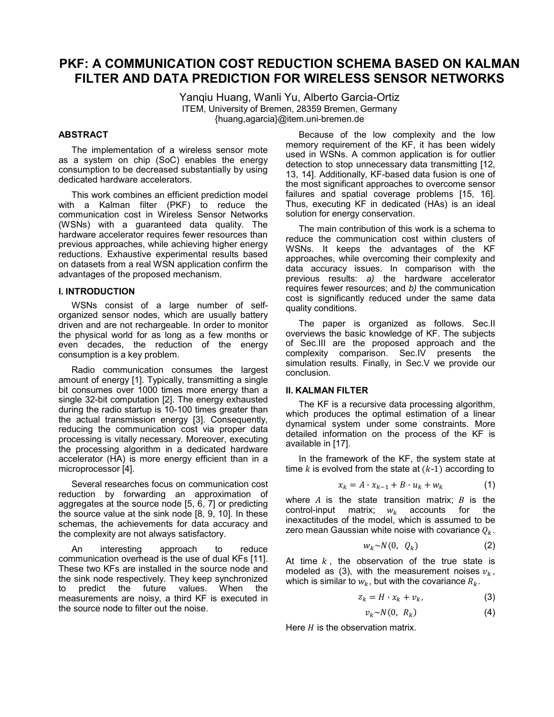## **PKF: A COMMUNICATION COST REDUCTION SCHEMA BASED ON KALMAN FILTER AND DATA PREDICTION FOR WIRELESS SENSOR NETWORKS**

Yanqiu Huang, Wanli Yu, Alberto Garcia-Ortiz ITEM, University of Bremen, 28359 Bremen, Germany {huang,agarcia}@item.uni-bremen.de

#### **ABSTRACT**

The implementation of a wireless sensor mote as a system on chip (SoC) enables the energy consumption to be decreased substantially by using dedicated hardware accelerators.

This work combines an efficient prediction model with a Kalman filter (PKF) to reduce the communication cost in Wireless Sensor Networks (WSNs) with a guaranteed data quality. The hardware accelerator requires fewer resources than previous approaches, while achieving higher energy reductions. Exhaustive experimental results based on datasets from a real WSN application confirm the advantages of the proposed mechanism.

#### **I. INTRODUCTION**

WSNs consist of a large number of selforganized sensor nodes, which are usually battery driven and are not rechargeable. In order to monitor the physical world for as long as a few months or even decades, the reduction of the energy consumption is a key problem.

Radio communication consumes the largest amount of energy [1]. Typically, transmitting a single bit consumes over 1000 times more energy than a single 32-bit computation [2]. The energy exhausted during the radio startup is 10-100 times greater than the actual transmission energy [3]. Consequently, reducing the communication cost via proper data processing is vitally necessary. Moreover, executing the processing algorithm in a dedicated hardware accelerator (HA) is more energy efficient than in a microprocessor [4].

Several researches focus on communication cost reduction by forwarding an approximation of aggregates at the source node [5, 6, 7] or predicting the source value at the sink node [8, 9, 10]. In these schemas, the achievements for data accuracy and the complexity are not always satisfactory.

An interesting approach to reduce communication overhead is the use of dual KFs [11]. These two KFs are installed in the source node and the sink node respectively. They keep synchronized to predict the future values. When the measurements are noisy, a third KF is executed in the source node to filter out the noise.

Because of the low complexity and the low memory requirement of the KF, it has been widely used in WSNs. A common application is for outlier detection to stop unnecessary data transmitting [12, 13, 14]. Additionally, KF-based data fusion is one of the most significant approaches to overcome sensor failures and spatial coverage problems [15, 16]. Thus, executing KF in dedicated (HAs) is an ideal solution for energy conservation.

The main contribution of this work is a schema to reduce the communication cost within clusters of WSNs. It keeps the advantages of the KF approaches, while overcoming their complexity and data accuracy issues. In comparison with the previous results: *a)* the hardware accelerator requires fewer resources; and *b)* the communication cost is significantly reduced under the same data quality conditions.

The paper is organized as follows. Sec.II overviews the basic knowledge of KF. The subjects of Sec.III are the proposed approach and the complexity comparison. Sec.IV presents the simulation results. Finally, in Sec.V we provide our conclusion.

#### **II. KALMAN FILTER**

The KF is a recursive data processing algorithm, which produces the optimal estimation of a linear dynamical system under some constraints. More detailed information on the process of the KF is available in [17].

In the framework of the KF, the system state at time  $k$  is evolved from the state at  $(k-1)$  according to

$$
x_k = A \cdot x_{k-1} + B \cdot u_k + w_k \tag{1}
$$

where  $A$  is the state transition matrix;  $B$  is the control-input matrix;  $w_k$  accounts for the inexactitudes of the model, which is assumed to be zero mean Gaussian white noise with covariance  $Q_k$ .

$$
w_k \sim N(0, Q_k) \tag{2}
$$

At time  $k$ , the observation of the true state is modeled as (3), with the measurement noises  $v_k$ , which is similar to  $w_k$ , but with the covariance  $R_k$ .

$$
z_k = H \cdot x_k + v_k, \tag{3}
$$

$$
v_k \sim N(0, R_k) \tag{4}
$$

Here  $H$  is the observation matrix.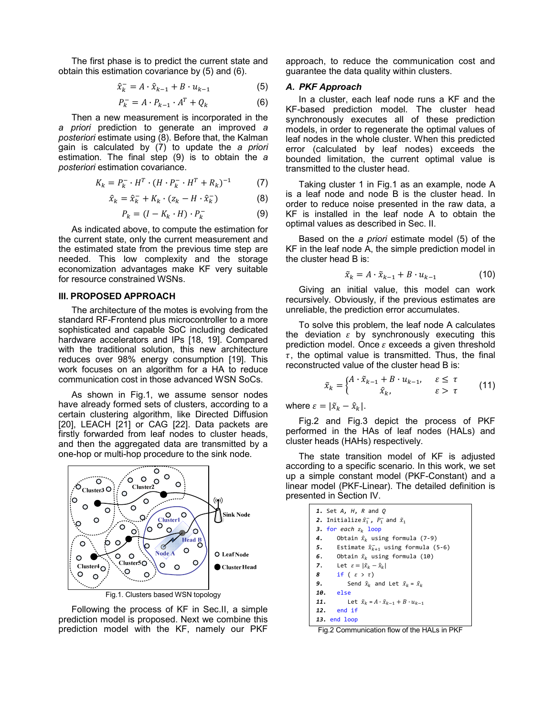The first phase is to predict the current state and obtain this estimation covariance by (5) and (6).

$$
\hat{x}_k^- = A \cdot \hat{x}_{k-1} + B \cdot u_{k-1} \tag{5}
$$

$$
P_k^- = A \cdot P_{k-1} \cdot A^T + Q_k \tag{6}
$$

Then a new measurement is incorporated in the *a priori* prediction to generate an improved *a posteriori* estimate using (8). Before that, the Kalman gain is calculated by (7) to update the *a priori* estimation. The final step (9) is to obtain the *a posteriori* estimation covariance.

$$
K_k = P_k^- \cdot H^T \cdot (H \cdot P_k^- \cdot H^T + R_k)^{-1} \tag{7}
$$

$$
\hat{x}_k = \hat{x}_k^- + K_k \cdot (z_k - H \cdot \hat{x}_k^-) \tag{8}
$$

$$
P_k = (I - K_k \cdot H) \cdot P_k^- \tag{9}
$$

As indicated above, to compute the estimation for the current state, only the current measurement and the estimated state from the previous time step are needed. This low complexity and the storage economization advantages make KF very suitable for resource constrained WSNs.

#### **III. PROPOSED APPROACH**

The architecture of the motes is evolving from the standard RF-Frontend plus microcontroller to a more sophisticated and capable SoC including dedicated hardware accelerators and IPs [18, 19]. Compared with the traditional solution, this new architecture reduces over 98% energy consumption [19]. This work focuses on an algorithm for a HA to reduce communication cost in those advanced WSN SoCs.

As shown in Fig.1, we assume sensor nodes have already formed sets of clusters, according to a certain clustering algorithm, like Directed Diffusion [20], LEACH [21] or CAG [22]. Data packets are firstly forwarded from leaf nodes to cluster heads, and then the aggregated data are transmitted by a one-hop or multi-hop procedure to the sink node.



Following the process of KF in Sec.II, a simple prediction model is proposed. Next we combine this prediction model with the KF, namely our PKF

approach, to reduce the communication cost and guarantee the data quality within clusters.

#### *A. PKF Approach*

In a cluster, each leaf node runs a KF and the KF-based prediction model. The cluster head synchronously executes all of these prediction models, in order to regenerate the optimal values of leaf nodes in the whole cluster. When this predicted error (calculated by leaf nodes) exceeds the bounded limitation, the current optimal value is transmitted to the cluster head.

Taking cluster 1 in Fig.1 as an example, node A is a leaf node and node B is the cluster head. In order to reduce noise presented in the raw data, a KF is installed in the leaf node A to obtain the optimal values as described in Sec. II.

Based on the *a priori* estimate model (5) of the KF in the leaf node A, the simple prediction model in the cluster head B is:

$$
\tilde{x}_k = A \cdot \tilde{x}_{k-1} + B \cdot u_{k-1} \tag{10}
$$

Giving an initial value, this model can work recursively. Obviously, if the previous estimates are unreliable, the prediction error accumulates.

To solve this problem, the leaf node A calculates the deviation  $\varepsilon$  by synchronously executing this prediction model. Once  $\varepsilon$  exceeds a given threshold  $\tau$ , the optimal value is transmitted. Thus, the final reconstructed value of the cluster head B is:

$$
\tilde{x}_k = \begin{cases} A \cdot \tilde{x}_{k-1} + B \cdot u_{k-1}, & \varepsilon \le \tau \\ \hat{x}_k, & \varepsilon > \tau \end{cases}
$$
 (11)

where  $\varepsilon = |\tilde{x}_k - \hat{x}_k|.$ 

Fig.2 and Fig.3 depict the process of PKF performed in the HAs of leaf nodes (HALs) and cluster heads (HAHs) respectively.

The state transition model of KF is adjusted according to a specific scenario. In this work, we set up a simple constant model (PKF-Constant) and a linear model (PKF-Linear). The detailed definition is presented in Section IV.

| 1. Set A, H, R and O                                                   |
|------------------------------------------------------------------------|
| 2. Initialize $\hat{x}_1^-$ , $P_1^-$ and $\tilde{x}_1$                |
| 3. for each $z_k$ loop                                                 |
| Obtain $\hat{x}_k$ using formula (7-9)<br>4.                           |
| 5. Estimate $\hat{x}_{k+1}^-$ using formula (5-6)                      |
| 6. Obtain $\tilde{x}_k$ using formula (10)                             |
| 7. Let $\varepsilon =  \tilde{x}_k - \hat{x}_k $                       |
| 8 if $(\varepsilon > \tau)$                                            |
| 9.<br>Send $\hat{x}_k$ and Let $\tilde{x}_k = \hat{x}_k$               |
| 10. else                                                               |
| Let $\tilde{x}_{k} = A \cdot \tilde{x}_{k-1} + B \cdot u_{k-1}$<br>11. |
| 12. end if                                                             |
| 13. end loop                                                           |

Fig.2 Communication flow of the HALs in PKF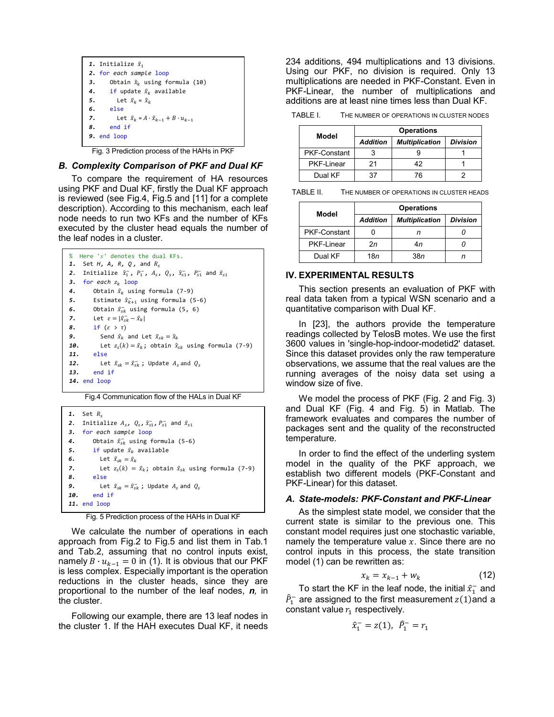

Fig. 3 Prediction process of the HAHs in PKF

#### *B. Complexity Comparison of PKF and Dual KF*

To compare the requirement of HA resources using PKF and Dual KF, firstly the Dual KF approach is reviewed (see Fig.4, Fig.5 and [11] for a complete description). According to this mechanism, each leaf node needs to run two KFs and the number of KFs executed by the cluster head equals the number of the leaf nodes in a cluster.

```
% Here 'ݏ 'denotes the dual KFs.
1. Set H, A, R, Q, and R_s2. Initialize \hat{x}_1^-, P_1^-, A_s, Q_s, \hat{x}_{s1}^-, P_{s1}^- and \tilde{x}_{s1}3. for each z_k loop
4. Obtain \hat{x}_k using formula (7-9)
5. Estimate \hat{x}_{k+1}^- using formula (5-6)
6. Obtain \hat{x}_{sk}^- using formula (5, 6)
7. Let \varepsilon = |\hat{x}_{sk} - \hat{x}_k|8. if (\varepsilon > \tau)9. Send \hat{x}_k and Let \tilde{x}_{sk} = \hat{x}_k10. Let z_s(k) = \hat{x}_k; obtain \hat{x}_{sk} using formula (7-9)<br>11. else
         11. else
12. Let \tilde{x}_{sk} = \hat{x}_{sk}^-; Update A_s and Q_s13. end if 
14. end loop
```
Fig.4 Communication flow of the HALs in Dual KF

```
1. Set R_c2. Initialize A_s, Q_s, \hat{x}_{s1}, P_{s1}^- and \tilde{x}_{s1}3. for each sample loop 
4. Obtain \hat{x}_{sk}^- using formula (5-6)
5. if update \hat{x}_k available
6. Let \tilde{x}_{sk} = \hat{x}_k7. Let z_s(k) = \hat{x}_k; obtain \hat{x}_{sk} using formula (7-9)
8. else
9. Let \tilde{x}_{sk} = \hat{x}_{sk}^-; Update A_s and Q_s10. end if 
11. end loop
```
Fig. 5 Prediction process of the HAHs in Dual KF

We calculate the number of operations in each approach from Fig.2 to Fig.5 and list them in Tab.1 and Tab.2, assuming that no control inputs exist, namely  $B \cdot u_{k-1} = 0$  in (1). It is obvious that our PKF is less complex. Especially important is the operation reductions in the cluster heads, since they are proportional to the number of the leaf nodes, *n,* in the cluster.

Following our example, there are 13 leaf nodes in the cluster 1. If the HAH executes Dual KF, it needs 234 additions, 494 multiplications and 13 divisions. Using our PKF, no division is required. Only 13 multiplications are needed in PKF-Constant. Even in PKF-Linear, the number of multiplications and additions are at least nine times less than Dual KF.

TABLE I. THE NUMBER OF OPERATIONS IN CLUSTER NODES

| Model               | <b>Operations</b> |                       |                 |
|---------------------|-------------------|-----------------------|-----------------|
|                     | <b>Addition</b>   | <b>Multiplication</b> | <b>Division</b> |
| <b>PKF-Constant</b> |                   |                       |                 |
| PKF-Linear          | 21                | 42                    |                 |
| Dual KF             |                   |                       |                 |

TABLE II. THE NUMBER OF OPERATIONS IN CLUSTER HEADS

| Model               | <b>Operations</b> |                       |                 |  |
|---------------------|-------------------|-----------------------|-----------------|--|
|                     | <b>Addition</b>   | <b>Multiplication</b> | <b>Division</b> |  |
| <b>PKF-Constant</b> |                   |                       |                 |  |
| <b>PKF-Linear</b>   | 2n                | 4n                    |                 |  |
| Dual KF             | 18n               | 38 <i>n</i>           |                 |  |

#### **IV. EXPERIMENTAL RESULTS**

This section presents an evaluation of PKF with real data taken from a typical WSN scenario and a quantitative comparison with Dual KF.

In [23], the authors provide the temperature readings collected by TelosB motes. We use the first 3600 values in 'single-hop-indoor-modetid2' dataset. Since this dataset provides only the raw temperature observations, we assume that the real values are the running averages of the noisy data set using a window size of five.

We model the process of PKF (Fig. 2 and Fig. 3) and Dual KF (Fig. 4 and Fig. 5) in Matlab. The framework evaluates and compares the number of packages sent and the quality of the reconstructed temperature.

In order to find the effect of the underling system model in the quality of the PKF approach, we establish two different models (PKF-Constant and PKF-Linear) for this dataset.

#### *A. State-models: PKF-Constant and PKF-Linear*

As the simplest state model, we consider that the current state is similar to the previous one. This constant model requires just one stochastic variable, namely the temperature value  $x$ . Since there are no control inputs in this process, the state transition model (1) can be rewritten as:

$$
x_k = x_{k-1} + w_k \tag{12}
$$

To start the KF in the leaf node, the initial  $\hat{x}_1^-$  and  $\widehat{P}_1^-$  are assigned to the first measurement  $z(1)$  and a constant value  $r_1$  respectively.

$$
\hat{x}_1^- = z(1), \ \hat{P}_1^- = r_1
$$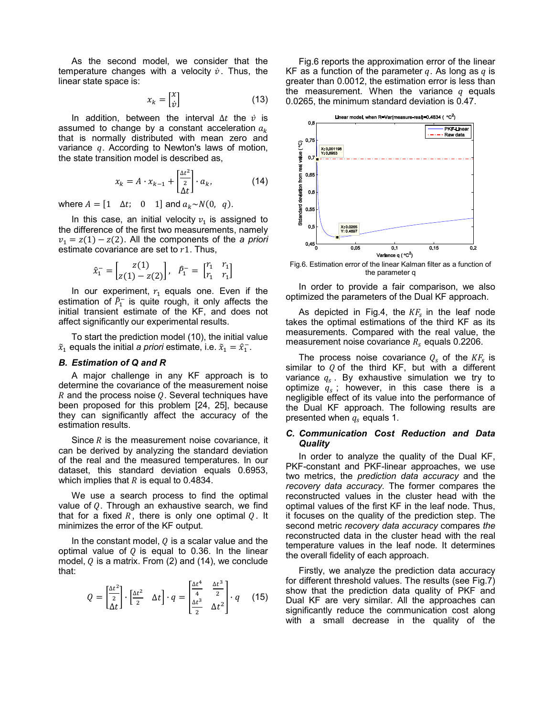As the second model, we consider that the temperature changes with a velocity  $\dot{v}$ . Thus, the linear state space is:

$$
x_k = \begin{bmatrix} x \\ \dot{v} \end{bmatrix} \tag{13}
$$

In addition, between the interval  $\Delta t$  the  $\dot{v}$  is assumed to change by a constant acceleration  $a_k$ that is normally distributed with mean zero and variance  $q$ . According to Newton's laws of motion, the state transition model is described as,

$$
x_k = A \cdot x_{k-1} + \begin{bmatrix} \frac{\Delta t^2}{2} \\ \frac{\Delta t}{2} \end{bmatrix} \cdot a_k, \tag{14}
$$

where  $A = \begin{bmatrix} 1 & \Delta t \\ 0 & 1 \end{bmatrix}$  and  $a_k \sim N(0, q)$ .

In this case, an initial velocity  $v_1$  is assigned to the difference of the first two measurements, namely  $v_1 = z(1) - z(2)$ . All the components of the *a priori* estimate covariance are set to  $r1$ . Thus,

$$
\hat{x}_1^- = \begin{bmatrix} z(1) \\ z(1) - z(2) \end{bmatrix}, \ \ \hat{P}_1^- = \begin{bmatrix} r_1 & r_1 \\ r_1 & r_1 \end{bmatrix}
$$

In our experiment,  $r_1$  equals one. Even if the estimation of  $\hat{P}_1^-$  is quite rough, it only affects the initial transient estimate of the KF, and does not affect significantly our experimental results.

To start the prediction model (10), the initial value  $\tilde{x}_1$  equals the initial *a priori* estimate, i.e.  $\tilde{x}_1 = \hat{x}_1^-$ .

#### *B. Estimation of Q and R*

A major challenge in any KF approach is to determine the covariance of the measurement noise R and the process noise  $Q$ . Several techniques have been proposed for this problem [24, 25], because they can significantly affect the accuracy of the estimation results.

Since  *is the measurement noise covariance, it* can be derived by analyzing the standard deviation of the real and the measured temperatures. In our dataset, this standard deviation equals 0.6953, which implies that  *is equal to 0.4834.* 

We use a search process to find the optimal value of  $Q$ . Through an exhaustive search, we find that for a fixed R, there is only one optimal  $Q$ . It minimizes the error of the KF output.

In the constant model,  $Q$  is a scalar value and the optimal value of  $Q$  is equal to 0.36. In the linear model,  $Q$  is a matrix. From (2) and (14), we conclude that:

$$
Q = \begin{bmatrix} \frac{\Delta t^2}{2} \\ \Delta t \end{bmatrix} \cdot \begin{bmatrix} \frac{\Delta t^2}{2} & \Delta t \end{bmatrix} \cdot q = \begin{bmatrix} \frac{\Delta t^4}{4} & \frac{\Delta t^3}{2} \\ \frac{\Delta t^3}{2} & \Delta t^2 \end{bmatrix} \cdot q \quad (15)
$$

Fig.6 reports the approximation error of the linear KF as a function of the parameter q. As long as  $q$  is greater than 0.0012, the estimation error is less than the measurement. When the variance  $q$  equals 0.0265, the minimum standard deviation is 0.47.



the parameter q

In order to provide a fair comparison, we also optimized the parameters of the Dual KF approach.

As depicted in Fig.4, the  $KF_s$  in the leaf node takes the optimal estimations of the third KF as its measurements. Compared with the real value, the measurement noise covariance  $R_s$  equals 0.2206.

The process noise covariance  $Q_s$  of the  $KF_s$  is similar to  $Q$  of the third KF, but with a different variance  $q_s$ . By exhaustive simulation we try to optimize  $q_s$ ; however, in this case there is a negligible effect of its value into the performance of the Dual KF approach. The following results are presented when  $q_s$  equals 1.

#### *C. Communication Cost Reduction and Data Quality*

In order to analyze the quality of the Dual KF, PKF-constant and PKF-linear approaches, we use two metrics, the *prediction data accuracy* and the *recovery data accuracy.* The former compares the reconstructed values in the cluster head with the optimal values of the first KF in the leaf node. Thus, it focuses on the quality of the prediction step. The second metric *recovery data accuracy* compares *the*  reconstructed data in the cluster head with the real temperature values in the leaf node. It determines the overall fidelity of each approach.

Firstly, we analyze the prediction data accuracy for different threshold values. The results (see Fig.7) show that the prediction data quality of PKF and Dual KF are very similar. All the approaches can significantly reduce the communication cost along with a small decrease in the quality of the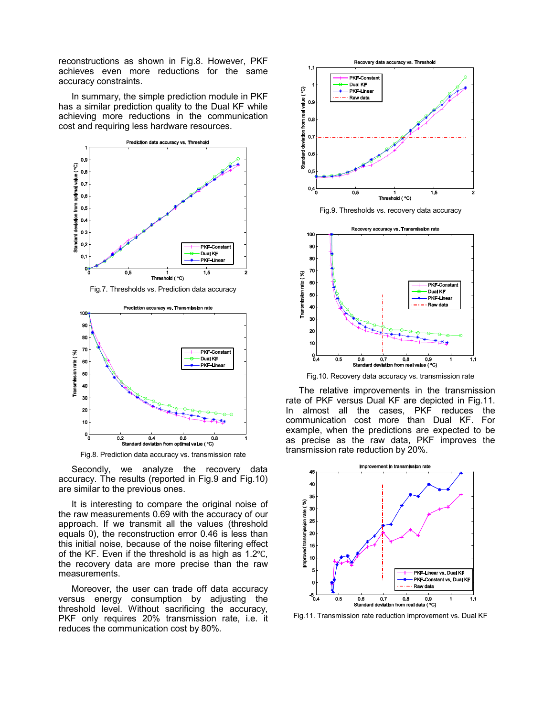reconstructions as shown in Fig.8. However, PKF achieves even more reductions for the same accuracy constraints.

In summary, the simple prediction module in PKF has a similar prediction quality to the Dual KF while achieving more reductions in the communication cost and requiring less hardware resources.



Fig.7. Thresholds vs. Prediction data accuracy



Fig.8. Prediction data accuracy vs. transmission rate

Secondly, we analyze the recovery data accuracy. The results (reported in Fig.9 and Fig.10) are similar to the previous ones.

It is interesting to compare the original noise of the raw measurements 0.69 with the accuracy of our approach. If we transmit all the values (threshold equals 0), the reconstruction error 0.46 is less than this initial noise, because of the noise filtering effect of the KF. Even if the threshold is as high as  $1.2^{\circ}$ C, the recovery data are more precise than the raw measurements.

Moreover, the user can trade off data accuracy versus energy consumption by adjusting the threshold level. Without sacrificing the accuracy, PKF only requires 20% transmission rate, i.e. it reduces the communication cost by 80%*.*



Fig.10. Recovery data accuracy vs. transmission rate

The relative improvements in the transmission rate of PKF versus Dual KF are depicted in Fig.11. In almost all the cases, PKF reduces the communication cost more than Dual KF. For example, when the predictions are expected to be as precise as the raw data, PKF improves the transmission rate reduction by 20%.



Fig.11. Transmission rate reduction improvement vs. Dual KF